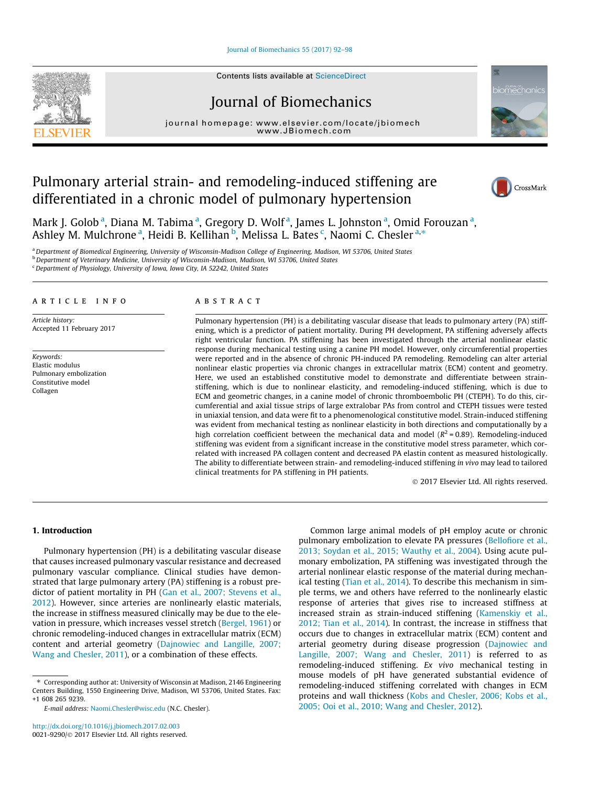[Journal of Biomechanics 55 \(2017\) 92–98](http://dx.doi.org/10.1016/j.jbiomech.2017.02.003)



# Journal of Biomechanics

journal home[page:](http://www.elsevier.com/locate/jbiomech) [www.elsevier.com/lo](http://www.JBiomech.com)[cate/jbiomech](http://www.elsevier.com/locate/jbiomech)



# Pulmonary arterial strain- and remodeling-induced stiffening are differentiated in a chronic model of pulmonary hypertension



Mark J. Golob<sup>a</sup>, Diana M. Tabima<sup>a</sup>, Gregory D. Wolf<sup>a</sup>, James L. Johnston<sup>a</sup>, Omid Forouzan<sup>a</sup>, Ashley M. Mulchrone<sup>a</sup>, Heidi B. Kellihan <sup>b</sup>, Melissa L. Bates <sup>c</sup>, Naomi C. Chesler <sup>a,\*</sup>

a Department of Biomedical Engineering, University of Wisconsin-Madison College of Engineering, Madison, WI 53706, United States b Department of Veterinary Medicine, University of Wisconsin-Madison, Madison, WI 53706, United States

<sup>c</sup> Department of Physiology, University of Iowa, Iowa City, IA 52242, United States

# article info

Article history: Accepted 11 February 2017

Keywords: Elastic modulus Pulmonary embolization Constitutive model Collagen

# ABSTRACT

Pulmonary hypertension (PH) is a debilitating vascular disease that leads to pulmonary artery (PA) stiffening, which is a predictor of patient mortality. During PH development, PA stiffening adversely affects right ventricular function. PA stiffening has been investigated through the arterial nonlinear elastic response during mechanical testing using a canine PH model. However, only circumferential properties were reported and in the absence of chronic PH-induced PA remodeling. Remodeling can alter arterial nonlinear elastic properties via chronic changes in extracellular matrix (ECM) content and geometry. Here, we used an established constitutive model to demonstrate and differentiate between strainstiffening, which is due to nonlinear elasticity, and remodeling-induced stiffening, which is due to ECM and geometric changes, in a canine model of chronic thromboembolic PH (CTEPH). To do this, circumferential and axial tissue strips of large extralobar PAs from control and CTEPH tissues were tested in uniaxial tension, and data were fit to a phenomenological constitutive model. Strain-induced stiffening was evident from mechanical testing as nonlinear elasticity in both directions and computationally by a high correlation coefficient between the mechanical data and model ( $R^2 = 0.89$ ). Remodeling-induced stiffening was evident from a significant increase in the constitutive model stress parameter, which correlated with increased PA collagen content and decreased PA elastin content as measured histologically. The ability to differentiate between strain- and remodeling-induced stiffening in vivo may lead to tailored clinical treatments for PA stiffening in PH patients.

2017 Elsevier Ltd. All rights reserved.

# 1. Introduction

Pulmonary hypertension (PH) is a debilitating vascular disease that causes increased pulmonary vascular resistance and decreased pulmonary vascular compliance. Clinical studies have demonstrated that large pulmonary artery (PA) stiffening is a robust predictor of patient mortality in PH [\(Gan et al., 2007; Stevens et al.,](#page-5-0) [2012\)](#page-5-0). However, since arteries are nonlinearly elastic materials, the increase in stiffness measured clinically may be due to the elevation in pressure, which increases vessel stretch ([Bergel, 1961\)](#page-5-0) or chronic remodeling-induced changes in extracellular matrix (ECM) content and arterial geometry ([Dajnowiec and Langille, 2007;](#page-5-0) [Wang and Chesler, 2011\)](#page-5-0), or a combination of these effects.

E-mail address: [Naomi.Chesler@wisc.edu](mailto:Naomi.Chesler@wisc.edu) (N.C. Chesler).

Common large animal models of pH employ acute or chronic pulmonary embolization to elevate PA pressures [\(Bellofiore et al.,](#page-5-0) [2013; Soydan et al., 2015; Wauthy et al., 2004](#page-5-0)). Using acute pulmonary embolization, PA stiffening was investigated through the arterial nonlinear elastic response of the material during mechanical testing ([Tian et al., 2014\)](#page-6-0). To describe this mechanism in simple terms, we and others have referred to the nonlinearly elastic response of arteries that gives rise to increased stiffness at increased strain as strain-induced stiffening [\(Kamenskiy et al.,](#page-6-0) [2012; Tian et al., 2014\)](#page-6-0). In contrast, the increase in stiffness that occurs due to changes in extracellular matrix (ECM) content and arterial geometry during disease progression [\(Dajnowiec and](#page-5-0) [Langille, 2007; Wang and Chesler, 2011\)](#page-5-0) is referred to as remodeling-induced stiffening. Ex vivo mechanical testing in mouse models of pH have generated substantial evidence of remodeling-induced stiffening correlated with changes in ECM proteins and wall thickness [\(Kobs and Chesler, 2006; Kobs et al.,](#page-6-0) [2005; Ooi et al., 2010; Wang and Chesler, 2012](#page-6-0)).

<sup>⇑</sup> Corresponding author at: University of Wisconsin at Madison, 2146 Engineering Centers Building, 1550 Engineering Drive, Madison, WI 53706, United States. Fax: +1 608 265 9239.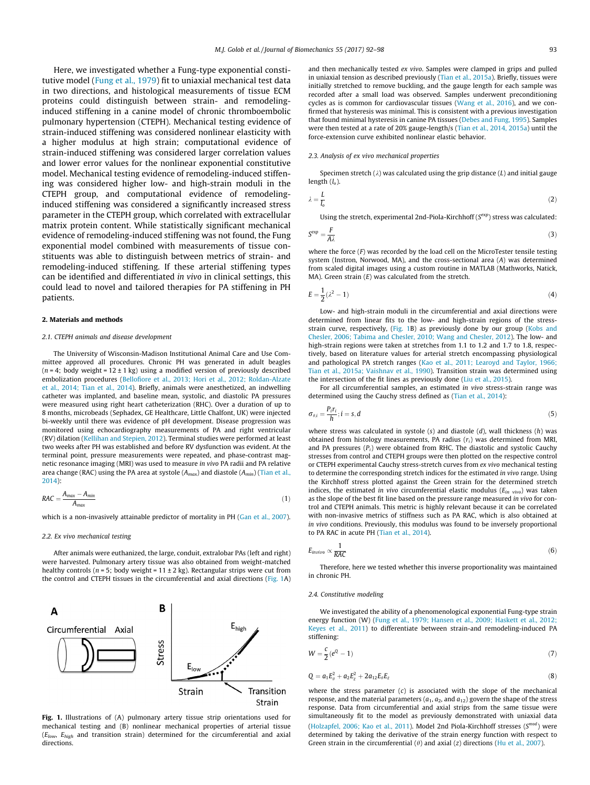Here, we investigated whether a Fung-type exponential constitutive model ([Fung et al., 1979\)](#page-5-0) fit to uniaxial mechanical test data in two directions, and histological measurements of tissue ECM proteins could distinguish between strain- and remodelinginduced stiffening in a canine model of chronic thromboembolic pulmonary hypertension (CTEPH). Mechanical testing evidence of strain-induced stiffening was considered nonlinear elasticity with a higher modulus at high strain; computational evidence of strain-induced stiffening was considered larger correlation values and lower error values for the nonlinear exponential constitutive model. Mechanical testing evidence of remodeling-induced stiffening was considered higher low- and high-strain moduli in the CTEPH group, and computational evidence of remodelinginduced stiffening was considered a significantly increased stress parameter in the CTEPH group, which correlated with extracellular matrix protein content. While statistically significant mechanical evidence of remodeling-induced stiffening was not found, the Fung exponential model combined with measurements of tissue constituents was able to distinguish between metrics of strain- and remodeling-induced stiffening. If these arterial stiffening types can be identified and differentiated in vivo in clinical settings, this could lead to novel and tailored therapies for PA stiffening in PH patients.

#### 2. Materials and methods

#### 2.1. CTEPH animals and disease development

The University of Wisconsin-Madison Institutional Animal Care and Use Committee approved all procedures. Chronic PH was generated in adult beagles ( $n = 4$ ; body weight = 12 ± 1 kg) using a modified version of previously described embolization procedures ([Bellofiore et al., 2013; Hori et al., 2012; Roldan-Alzate](#page-5-0) [et al., 2014; Tian et al., 2014](#page-5-0)). Briefly, animals were anesthetized, an indwelling catheter was implanted, and baseline mean, systolic, and diastolic PA pressures were measured using right heart catheterization (RHC). Over a duration of up to 8 months, microbeads (Sephadex, GE Healthcare, Little Chalfont, UK) were injected bi-weekly until there was evidence of pH development. Disease progression was monitored using echocardiography measurements of PA and right ventricular (RV) dilation ([Kellihan and Stepien, 2012\)](#page-6-0). Terminal studies were performed at least two weeks after PH was established and before RV dysfunction was evident. At the terminal point, pressure measurements were repeated, and phase-contrast magnetic resonance imaging (MRI) was used to measure in vivo PA radii and PA relative area change (RAC) using the PA area at systole ( $A_{max}$ ) and diastole ( $A_{min}$ ) ([Tian et al.,](#page-6-0) [2014\)](#page-6-0):

$$
RAC = \frac{A_{max} - A_{min}}{A_{max}} \tag{1}
$$

which is a non-invasively attainable predictor of mortality in PH [\(Gan et al., 2007\)](#page-5-0).

### 2.2. Ex vivo mechanical testing

After animals were euthanized, the large, conduit, extralobar PAs (left and right) were harvested. Pulmonary artery tissue was also obtained from weight-matched healthy controls ( $n = 5$ ; body weight = 11 ± 2 kg). Rectangular strips were cut from the control and CTEPH tissues in the circumferential and axial directions (Fig. 1A)



Fig. 1. Illustrations of (A) pulmonary artery tissue strip orientations used for mechanical testing and (B) nonlinear mechanical properties of arterial tissue  $(E_{low}, E_{high}$  and transition strain) determined for the circumferential and axial directions.

and then mechanically tested ex vivo. Samples were clamped in grips and pulled in uniaxial tension as described previously ([Tian et al., 2015a](#page-6-0)). Briefly, tissues were initially stretched to remove buckling, and the gauge length for each sample was recorded after a small load was observed. Samples underwent preconditioning cycles as is common for cardiovascular tissues ([Wang et al., 2016\)](#page-6-0), and we confirmed that hysteresis was minimal. This is consistent with a previous investigation that found minimal hysteresis in canine PA tissues [\(Debes and Fung, 1995](#page-5-0)). Samples were then tested at a rate of 20% gauge-length/s [\(Tian et al., 2014, 2015a](#page-6-0)) until the force-extension curve exhibited nonlinear elastic behavior.

#### 2.3. Analysis of ex vivo mechanical properties

Specimen stretch ( $\lambda$ ) was calculated using the grip distance (L) and initial gauge length  $(l_0)$ .

$$
\lambda = \frac{L}{l_o} \tag{2}
$$

Using the stretch, experimental 2nd-Piola-Kirchhoff ( $S^{exp}$ ) stress was calculated:

$$
S^{\text{exp}} = \frac{F}{A\lambda} \tag{3}
$$

where the force (F) was recorded by the load cell on the MicroTester tensile testing system (Instron, Norwood, MA), and the cross-sectional area (A) was determined from scaled digital images using a custom routine in MATLAB (Mathworks, Natick, MA). Green strain  $(E)$  was calculated from the stretch.

$$
E = \frac{1}{2}(\lambda^2 - 1) \tag{4}
$$

Low- and high-strain moduli in the circumferential and axial directions were determined from linear fits to the low- and high-strain regions of the stress-strain curve, respectively, (Fig. 1B) as previously done by our group [\(Kobs and](#page-6-0) [Chesler, 2006; Tabima and Chesler, 2010; Wang and Chesler, 2012\)](#page-6-0). The low- and high-strain regions were taken at stretches from 1.1 to 1.2 and 1.7 to 1.8, respectively, based on literature values for arterial stretch encompassing physiological and pathological PA stretch ranges ([Kao et al., 2011; Learoyd and Taylor, 1966;](#page-6-0) [Tian et al., 2015a; Vaishnav et al., 1990](#page-6-0)). Transition strain was determined using the intersection of the fit lines as previously done [\(Liu et al., 2015](#page-6-0)).

For all circumferential samples, an estimated in vivo stress-strain range was determined using the Cauchy stress defined as [\(Tian et al., 2014](#page-6-0)):

$$
\sigma_{\theta,i} = \frac{P_i r_i}{h}; i = s, d \tag{5}
$$

where stress was calculated in systole  $(s)$  and diastole  $(d)$ , wall thickness  $(h)$  was obtained from histology measurements, PA radius  $(r_i)$  was determined from MRI, and PA pressures  $(P_i)$  were obtained from RHC. The diastolic and systolic Cauchy stresses from control and CTEPH groups were then plotted on the respective control or CTEPH experimental Cauchy stress-stretch curves from ex vivo mechanical testing to determine the corresponding stretch indices for the estimated in vivo range. Using the Kirchhoff stress plotted against the Green strain for the determined stretch indices, the estimated in vivo circumferential elastic modulus ( $E_{in}$  vivo) was taken as the slope of the best fit line based on the pressure range measured in vivo for control and CTEPH animals. This metric is highly relevant because it can be correlated with non-invasive metrics of stiffness such as PA RAC, which is also obtained at in vivo conditions. Previously, this modulus was found to be inversely proportional to PA RAC in acute PH [\(Tian et al., 2014\)](#page-6-0).

$$
E_{invivo} \propto \frac{1}{RAC} \tag{6}
$$

Therefore, here we tested whether this inverse proportionality was maintained in chronic PH.

#### 2.4. Constitutive modeling

We investigated the ability of a phenomenological exponential Fung-type strain energy function (W) [\(Fung et al., 1979; Hansen et al., 2009; Haskett et al., 2012;](#page-5-0) [Keyes et al., 2011](#page-5-0)) to differentiate between strain-and remodeling-induced PA stiffening:

$$
W = \frac{c}{2}(e^Q - 1) \tag{7}
$$

$$
Q = a_1 E_{\theta}^2 + a_2 E_{z}^2 + 2a_{12} E_{\theta} E_{z}
$$
 (8)

where the stress parameter  $(c)$  is associated with the slope of the mechanical response, and the material parameters  $(a_1, a_2,$  and  $a_{12})$  govern the shape of the stress response. Data from circumferential and axial strips from the same tissue were simultaneously fit to the model as previously demonstrated with uniaxial data ([Holzapfel, 2006; Kao et al., 2011\)](#page-5-0). Model 2nd Piola-Kirchhoff stresses ( $S^{mod}$ ) were determined by taking the derivative of the strain energy function with respect to Green strain in the circumferential  $(\theta)$  and axial (z) directions [\(Hu et al., 2007](#page-6-0)).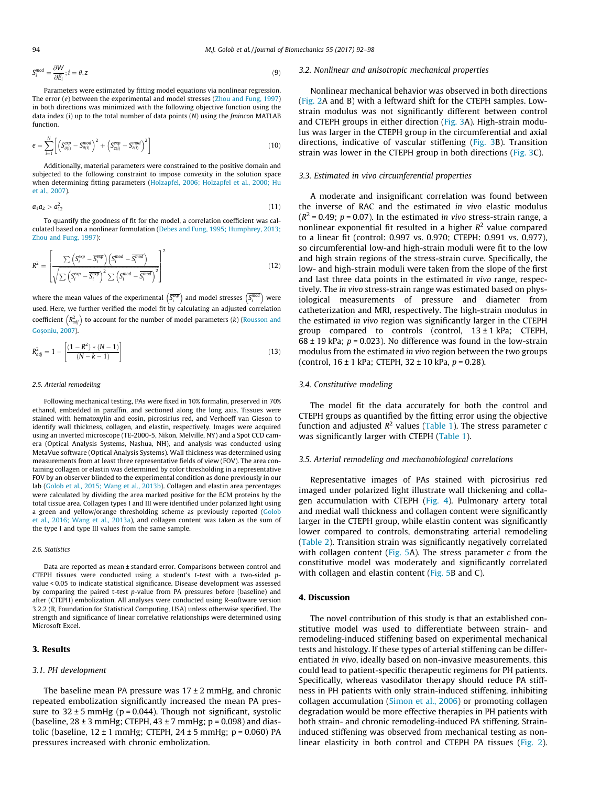$$
S_i^{mod} = \frac{\partial W}{\partial E_i}; i = \theta, z
$$
\n(9)

Parameters were estimated by fitting model equations via nonlinear regression. The error (e) between the experimental and model stresses [\(Zhou and Fung, 1997](#page-6-0)) in both directions was minimized with the following objective function using the data index (i) up to the total number of data points  $(N)$  using the *fmincon* MATLAB function.

$$
e = \sum_{i=1}^{N} \left[ \left( S_{\theta(i)}^{exp} - S_{\theta(i)}^{mod} \right)^2 + \left( S_{z(i)}^{exp} - S_{z(i)}^{mod} \right)^2 \right]
$$
(10)

Additionally, material parameters were constrained to the positive domain and subjected to the following constraint to impose convexity in the solution space when determining fitting parameters [\(Holzapfel, 2006; Holzapfel et al., 2000; Hu](#page-5-0) [et al., 2007](#page-5-0)).

$$
a_1 a_2 > a_{12}^2 \tag{11}
$$

To quantify the goodness of fit for the model, a correlation coefficient was calculated based on a nonlinear formulation ([Debes and Fung, 1995; Humphrey, 2013;](#page-5-0) [Zhou and Fung, 1997](#page-5-0)):

$$
R^{2} = \left[ \frac{\sum \left( S_{i}^{exp} - \overline{S_{i}^{exp}} \right) \left( S_{i}^{mod} - \overline{S_{i}^{mod}} \right)}{\sqrt{\sum \left( S_{i}^{exp} - \overline{S_{i}^{exp}} \right)^{2} \sum \left( S_{i}^{mod} - \overline{S_{i}^{mod}} \right)^{2}}} \right]^{2}
$$
(12)

where the mean values of the experimental  $\left(\overline{S^{\text{exp}}_i}\right)$  and model stresses  $\left(S^{\text{mod}}_i\right)$  were used. Here, we further verified the model fit by calculating an adjusted correlation coefficient  $\left(R_{adj}^2\right)$  to account for the number of model parameters (k) ([Rousson and](#page-6-0) [Gos](#page-6-0)[oniu, 2007\)](#page-6-0).

$$
R_{adj}^2 = 1 - \left[ \frac{(1 - R^2) * (N - 1)}{(N - k - 1)} \right]
$$
\n(13)

#### 2.5. Arterial remodeling

Following mechanical testing, PAs were fixed in 10% formalin, preserved in 70% ethanol, embedded in paraffin, and sectioned along the long axis. Tissues were stained with hematoxylin and eosin, picrosirius red, and Verhoeff van Gieson to identify wall thickness, collagen, and elastin, respectively. Images were acquired using an inverted microscope (TE-2000-5, Nikon, Melville, NY) and a Spot CCD camera (Optical Analysis Systems, Nashua, NH), and analysis was conducted using MetaVue software (Optical Analysis Systems). Wall thickness was determined using measurements from at least three representative fields of view (FOV). The area containing collagen or elastin was determined by color thresholding in a representative FOV by an observer blinded to the experimental condition as done previously in our lab ([Golob et al., 2015; Wang et al., 2013b\)](#page-5-0). Collagen and elastin area percentages were calculated by dividing the area marked positive for the ECM proteins by the total tissue area. Collagen types I and III were identified under polarized light using a green and yellow/orange thresholding scheme as previously reported ([Golob](#page-5-0) [et al., 2016; Wang et al., 2013a\)](#page-5-0), and collagen content was taken as the sum of the type I and type III values from the same sample.

## 2.6. Statistics

Data are reported as mean ± standard error. Comparisons between control and CTEPH tissues were conducted using a student's t-test with a two-sided pvalue < 0.05 to indicate statistical significance. Disease development was assessed by comparing the paired t-test p-value from PA pressures before (baseline) and after (CTEPH) embolization. All analyses were conducted using R-software version 3.2.2 (R, Foundation for Statistical Computing, USA) unless otherwise specified. The strength and significance of linear correlative relationships were determined using Microsoft Excel.

### 3. Results

### 3.1. PH development

The baseline mean PA pressure was  $17 \pm 2$  mmHg, and chronic repeated embolization significantly increased the mean PA pressure to  $32 \pm 5$  mmHg (p = 0.044). Though not significant, systolic (baseline,  $28 \pm 3$  mmHg; CTEPH,  $43 \pm 7$  mmHg; p = 0.098) and diastolic (baseline,  $12 \pm 1$  mmHg; CTEPH,  $24 \pm 5$  mmHg;  $p = 0.060$ ) PA pressures increased with chronic embolization.

#### 3.2. Nonlinear and anisotropic mechanical properties

Nonlinear mechanical behavior was observed in both directions ([Fig. 2](#page-3-0)A and B) with a leftward shift for the CTEPH samples. Lowstrain modulus was not significantly different between control and CTEPH groups in either direction ([Fig. 3](#page-3-0)A). High-strain modulus was larger in the CTEPH group in the circumferential and axial directions, indicative of vascular stiffening ([Fig. 3](#page-3-0)B). Transition strain was lower in the CTEPH group in both directions [\(Fig. 3C](#page-3-0)).

## 3.3. Estimated in vivo circumferential properties

A moderate and insignificant correlation was found between the inverse of RAC and the estimated in vivo elastic modulus  $(R^2 = 0.49; p = 0.07)$ . In the estimated in vivo stress-strain range, a nonlinear exponential fit resulted in a higher  $R^2$  value compared to a linear fit (control: 0.997 vs. 0.970; CTEPH: 0.991 vs. 0.977), so circumferential low-and high-strain moduli were fit to the low and high strain regions of the stress-strain curve. Specifically, the low- and high-strain moduli were taken from the slope of the first and last three data points in the estimated in vivo range, respectively. The in vivo stress-strain range was estimated based on physiological measurements of pressure and diameter from catheterization and MRI, respectively. The high-strain modulus in the estimated in vivo region was significantly larger in the CTEPH group compared to controls (control,  $13 \pm 1$  kPa; CTEPH,  $68 \pm 19$  kPa;  $p = 0.023$ ). No difference was found in the low-strain modulus from the estimated in vivo region between the two groups (control,  $16 \pm 1$  kPa; CTEPH,  $32 \pm 10$  kPa,  $p = 0.28$ ).

### 3.4. Constitutive modeling

The model fit the data accurately for both the control and CTEPH groups as quantified by the fitting error using the objective function and adjusted  $R^2$  values ([Table 1\)](#page-3-0). The stress parameter c was significantly larger with CTEPH [\(Table 1](#page-3-0)).

## 3.5. Arterial remodeling and mechanobiological correlations

Representative images of PAs stained with picrosirius red imaged under polarized light illustrate wall thickening and collagen accumulation with CTEPH [\(Fig. 4\)](#page-4-0). Pulmonary artery total and medial wall thickness and collagen content were significantly larger in the CTEPH group, while elastin content was significantly lower compared to controls, demonstrating arterial remodeling ([Table 2\)](#page-4-0). Transition strain was significantly negatively correlated with collagen content [\(Fig. 5A](#page-4-0)). The stress parameter  $c$  from the constitutive model was moderately and significantly correlated with collagen and elastin content ([Fig. 5](#page-4-0)B and C).

# 4. Discussion

The novel contribution of this study is that an established constitutive model was used to differentiate between strain- and remodeling-induced stiffening based on experimental mechanical tests and histology. If these types of arterial stiffening can be differentiated in vivo, ideally based on non-invasive measurements, this could lead to patient-specific therapeutic regimens for PH patients. Specifically, whereas vasodilator therapy should reduce PA stiffness in PH patients with only strain-induced stiffening, inhibiting collagen accumulation [\(Simon et al., 2006](#page-6-0)) or promoting collagen degradation would be more effective therapies in PH patients with both strain- and chronic remodeling-induced PA stiffening. Straininduced stiffening was observed from mechanical testing as nonlinear elasticity in both control and CTEPH PA tissues ([Fig. 2\)](#page-3-0).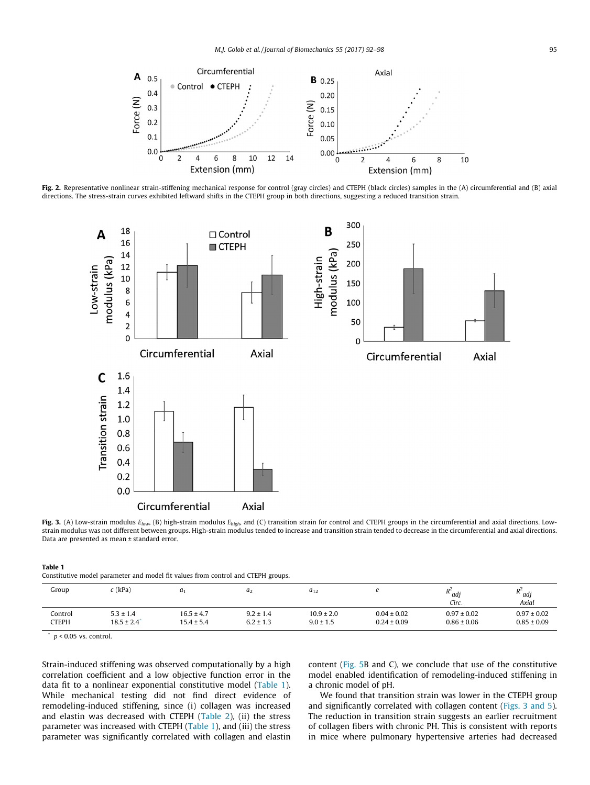<span id="page-3-0"></span>

Fig. 2. Representative nonlinear strain-stiffening mechanical response for control (gray circles) and CTEPH (black circles) samples in the (A) circumferential and (B) axial directions. The stress-strain curves exhibited leftward shifts in the CTEPH group in both directions, suggesting a reduced transition strain.



Fig. 3. (A) Low-strain modulus  $E_{low}$ , (B) high-strain modulus  $E_{high}$ , and (C) transition strain for control and CTEPH groups in the circumferential and axial directions. Lowstrain modulus was not different between groups. High-strain modulus tended to increase and transition strain tended to decrease in the circumferential and axial directions. Data are presented as mean ± standard error.

| Table |  |
|-------|--|
|-------|--|

| Constitutive model parameter and model fit values from control and CTEPH groups. |  |  |  |  |  |
|----------------------------------------------------------------------------------|--|--|--|--|--|
|----------------------------------------------------------------------------------|--|--|--|--|--|

| Group        | $c$ (kPa)                   | a <sub>1</sub> | a <sub>2</sub> | $a_{12}$       |                 | <sup>n</sup> adj<br>Circ. | D <sup>2</sup><br>$^{\prime\prime}$ adj<br>Axial |
|--------------|-----------------------------|----------------|----------------|----------------|-----------------|---------------------------|--------------------------------------------------|
| Control      | $5.3 \pm 1.4$               | $16.5 \pm 4.7$ | $9.2 \pm 1.4$  | $10.9 \pm 2.0$ | $0.04 \pm 0.02$ | $0.97 \pm 0.02$           | $0.97 \pm 0.02$                                  |
| <b>CTEPH</b> | $18.5 \pm 2.4$ <sup>*</sup> | $15.4 \pm 5.4$ | $6.2 \pm 1.3$  | $9.0 \pm 1.5$  | $0.24 \pm 0.09$ | $0.86 \pm 0.06$           | $0.85 \pm 0.09$                                  |

 $p < 0.05$  vs. control.

Strain-induced stiffening was observed computationally by a high correlation coefficient and a low objective function error in the data fit to a nonlinear exponential constitutive model (Table 1). While mechanical testing did not find direct evidence of remodeling-induced stiffening, since (i) collagen was increased and elastin was decreased with CTEPH [\(Table 2](#page-4-0)), (ii) the stress parameter was increased with CTEPH (Table 1), and (iii) the stress parameter was significantly correlated with collagen and elastin content ([Fig. 5](#page-4-0)B and C), we conclude that use of the constitutive model enabled identification of remodeling-induced stiffening in a chronic model of pH.

We found that transition strain was lower in the CTEPH group and significantly correlated with collagen content (Figs. 3 and 5). The reduction in transition strain suggests an earlier recruitment of collagen fibers with chronic PH. This is consistent with reports in mice where pulmonary hypertensive arteries had decreased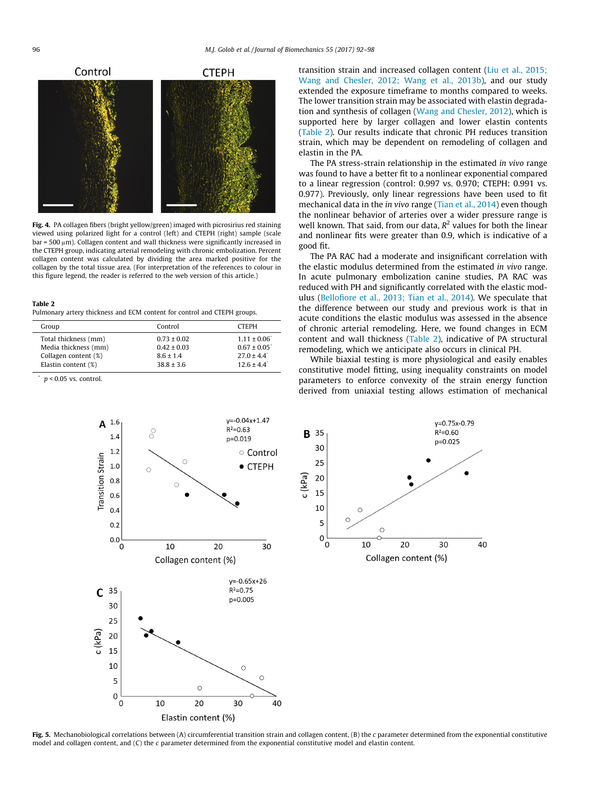<span id="page-4-0"></span>

Fig. 4. PA collagen fibers (bright yellow/green) imaged with picrosirius red staining viewed using polarized light for a control (left) and CTEPH (right) sample (scale  $bar = 500 \mu m$ ). Collagen content and wall thickness were significantly increased in the CTEPH group, indicating arterial remodeling with chronic embolization. Percent collagen content was calculated by dividing the area marked positive for the collagen by the total tissue area. (For interpretation of the references to colour in this figure legend, the reader is referred to the web version of this article.)

| ravic 4                                                                  |  |  |
|--------------------------------------------------------------------------|--|--|
| Pulmonary artery thickness and ECM content for control and CTEPH groups. |  |  |

| Group                                                                | Control                                             | <b>CTFPH</b>                                                                        |
|----------------------------------------------------------------------|-----------------------------------------------------|-------------------------------------------------------------------------------------|
| Total thickness (mm)<br>Media thickness (mm)<br>Collagen content (%) | $0.73 \pm 0.02$<br>$0.42 \pm 0.03$<br>$8.6 \pm 1.4$ | $1.11 \pm 0.06$<br>$0.67 \pm 0.05$<br>$27.0 \pm 4.4$ <sup>*</sup><br>$12.6 \pm 4.4$ |
| Elastin content (%)                                                  | $38.8 \pm 3.6$                                      |                                                                                     |

 $p < 0.05$  vs. control.

Table 2



The PA stress-strain relationship in the estimated in vivo range was found to have a better fit to a nonlinear exponential compared to a linear regression (control: 0.997 vs. 0.970; CTEPH: 0.991 vs. 0.977). Previously, only linear regressions have been used to fit mechanical data in the *in vivo* range ([Tian et al., 2014\)](#page-6-0) even though the nonlinear behavior of arteries over a wider pressure range is well known. That said, from our data,  $R^2$  values for both the linear and nonlinear fits were greater than 0.9, which is indicative of a good fit.

The PA RAC had a moderate and insignificant correlation with the elastic modulus determined from the estimated in vivo range. In acute pulmonary embolization canine studies, PA RAC was reduced with PH and significantly correlated with the elastic modulus ([Bellofiore et al., 2013; Tian et al., 2014\)](#page-5-0). We speculate that the difference between our study and previous work is that in acute conditions the elastic modulus was assessed in the absence of chronic arterial remodeling. Here, we found changes in ECM content and wall thickness (Table 2), indicative of PA structural remodeling, which we anticipate also occurs in clinical PH.

While biaxial testing is more physiological and easily enables constitutive model fitting, using inequality constraints on model parameters to enforce convexity of the strain energy function derived from uniaxial testing allows estimation of mechanical





Fig. 5. Mechanobiological correlations between (A) circumferential transition strain and collagen content, (B) the c parameter determined from the exponential constitutive model and collagen content, and  $(C)$  the c parameter determined from the exponential constitutive model and elastin content.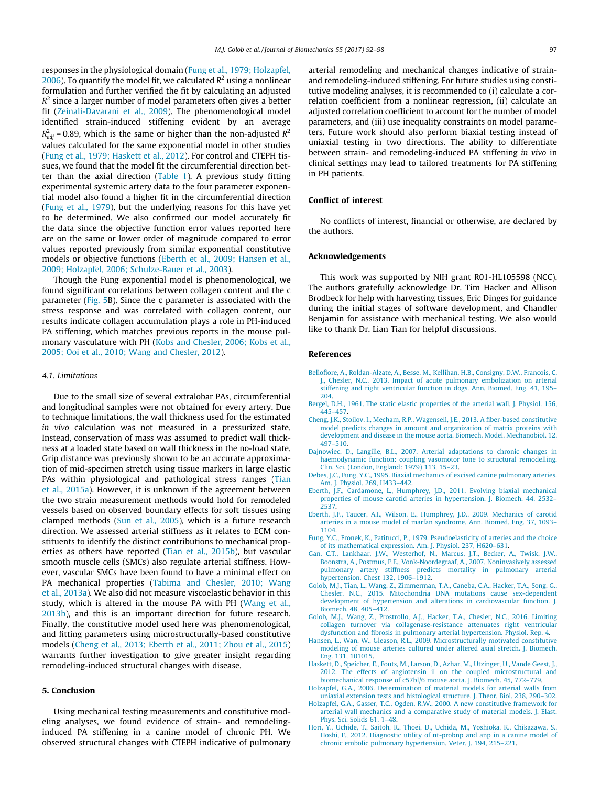<span id="page-5-0"></span>responses in the physiological domain (Fung et al., 1979; Holzapfel, 2006). To quantify the model fit, we calculated  $R^2$  using a nonlinear formulation and further verified the fit by calculating an adjusted  $R^2$  since a larger number of model parameters often gives a better fit ([Zeinali-Davarani et al., 2009](#page-6-0)). The phenomenological model identified strain-induced stiffening evident by an average  $R^2_{adj}$  = 0.89, which is the same or higher than the non-adjusted  $R^2$ values calculated for the same exponential model in other studies (Fung et al., 1979; Haskett et al., 2012). For control and CTEPH tissues, we found that the model fit the circumferential direction better than the axial direction ([Table 1](#page-3-0)). A previous study fitting experimental systemic artery data to the four parameter exponential model also found a higher fit in the circumferential direction (Fung et al., 1979), but the underlying reasons for this have yet to be determined. We also confirmed our model accurately fit the data since the objective function error values reported here are on the same or lower order of magnitude compared to error values reported previously from similar exponential constitutive models or objective functions (Eberth et al., 2009; Hansen et al., 2009; Holzapfel, 2006; Schulze-Bauer et al., 2003).

Though the Fung exponential model is phenomenological, we found significant correlations between collagen content and the c parameter ([Fig. 5B](#page-4-0)). Since the c parameter is associated with the stress response and was correlated with collagen content, our results indicate collagen accumulation plays a role in PH-induced PA stiffening, which matches previous reports in the mouse pulmonary vasculature with PH [\(Kobs and Chesler, 2006; Kobs et al.,](#page-6-0) [2005; Ooi et al., 2010; Wang and Chesler, 2012\)](#page-6-0).

#### 4.1. Limitations

Due to the small size of several extralobar PAs, circumferential and longitudinal samples were not obtained for every artery. Due to technique limitations, the wall thickness used for the estimated in vivo calculation was not measured in a pressurized state. Instead, conservation of mass was assumed to predict wall thickness at a loaded state based on wall thickness in the no-load state. Grip distance was previously shown to be an accurate approximation of mid-specimen stretch using tissue markers in large elastic PAs within physiological and pathological stress ranges [\(Tian](#page-6-0) [et al., 2015a\)](#page-6-0). However, it is unknown if the agreement between the two strain measurement methods would hold for remodeled vessels based on observed boundary effects for soft tissues using clamped methods [\(Sun et al., 2005\)](#page-6-0), which is a future research direction. We assessed arterial stiffness as it relates to ECM constituents to identify the distinct contributions to mechanical properties as others have reported ([Tian et al., 2015b](#page-6-0)), but vascular smooth muscle cells (SMCs) also regulate arterial stiffness. However, vascular SMCs have been found to have a minimal effect on PA mechanical properties ([Tabima and Chesler, 2010; Wang](#page-6-0) [et al., 2013a\)](#page-6-0). We also did not measure viscoelastic behavior in this study, which is altered in the mouse PA with PH ([Wang et al.,](#page-6-0) [2013b](#page-6-0)), and this is an important direction for future research. Finally, the constitutive model used here was phenomenological, and fitting parameters using microstructurally-based constitutive models (Cheng et al., 2013; Eberth et al., 2011; Zhou et al., 2015) warrants further investigation to give greater insight regarding remodeling-induced structural changes with disease.

# 5. Conclusion

Using mechanical testing measurements and constitutive modeling analyses, we found evidence of strain- and remodelinginduced PA stiffening in a canine model of chronic PH. We observed structural changes with CTEPH indicative of pulmonary arterial remodeling and mechanical changes indicative of strainand remodeling-induced stiffening. For future studies using constitutive modeling analyses, it is recommended to (i) calculate a correlation coefficient from a nonlinear regression, (ii) calculate an adjusted correlation coefficient to account for the number of model parameters, and (iii) use inequality constraints on model parameters. Future work should also perform biaxial testing instead of uniaxial testing in two directions. The ability to differentiate between strain- and remodeling-induced PA stiffening in vivo in clinical settings may lead to tailored treatments for PA stiffening in PH patients.

# Conflict of interest

No conflicts of interest, financial or otherwise, are declared by the authors.

## Acknowledgements

This work was supported by NIH grant R01-HL105598 (NCC). The authors gratefully acknowledge Dr. Tim Hacker and Allison Brodbeck for help with harvesting tissues, Eric Dinges for guidance during the initial stages of software development, and Chandler Benjamin for assistance with mechanical testing. We also would like to thank Dr. Lian Tian for helpful discussions.

#### References

- [Bellofiore, A., Roldan-Alzate, A., Besse, M., Kellihan, H.B., Consigny, D.W., Francois, C.](http://refhub.elsevier.com/S0021-9290(17)30099-4/h0005) [J., Chesler, N.C., 2013. Impact of acute pulmonary embolization on arterial](http://refhub.elsevier.com/S0021-9290(17)30099-4/h0005) [stiffening and right ventricular function in dogs. Ann. Biomed. Eng. 41, 195–](http://refhub.elsevier.com/S0021-9290(17)30099-4/h0005) [204.](http://refhub.elsevier.com/S0021-9290(17)30099-4/h0005)
- [Bergel, D.H., 1961. The static elastic properties of the arterial wall. J. Physiol. 156,](http://refhub.elsevier.com/S0021-9290(17)30099-4/h0010) [445–457](http://refhub.elsevier.com/S0021-9290(17)30099-4/h0010).
- [Cheng, J.K., Stoilov, I., Mecham, R.P., Wagenseil, J.E., 2013. A fiber-based constitutive](http://refhub.elsevier.com/S0021-9290(17)30099-4/h0015) [model predicts changes in amount and organization of matrix proteins with](http://refhub.elsevier.com/S0021-9290(17)30099-4/h0015) [development and disease in the mouse aorta. Biomech. Model. Mechanobiol. 12,](http://refhub.elsevier.com/S0021-9290(17)30099-4/h0015) [497–510](http://refhub.elsevier.com/S0021-9290(17)30099-4/h0015).
- [Dajnowiec, D., Langille, B.L., 2007. Arterial adaptations to chronic changes in](http://refhub.elsevier.com/S0021-9290(17)30099-4/h0020) [haemodynamic function: coupling vasomotor tone to structural remodelling.](http://refhub.elsevier.com/S0021-9290(17)30099-4/h0020) [Clin. Sci. \(London, England: 1979\) 113, 15–23.](http://refhub.elsevier.com/S0021-9290(17)30099-4/h0020)
- [Debes, J.C., Fung, Y.C., 1995. Biaxial mechanics of excised canine pulmonary arteries.](http://refhub.elsevier.com/S0021-9290(17)30099-4/h0025) [Am. J. Physiol. 269, H433–442.](http://refhub.elsevier.com/S0021-9290(17)30099-4/h0025)
- [Eberth, J.F., Cardamone, L., Humphrey, J.D., 2011. Evolving biaxial mechanical](http://refhub.elsevier.com/S0021-9290(17)30099-4/h0030) [properties of mouse carotid arteries in hypertension. J. Biomech. 44, 2532–](http://refhub.elsevier.com/S0021-9290(17)30099-4/h0030) [2537.](http://refhub.elsevier.com/S0021-9290(17)30099-4/h0030)
- [Eberth, J.F., Taucer, A.I., Wilson, E., Humphrey, J.D., 2009. Mechanics of carotid](http://refhub.elsevier.com/S0021-9290(17)30099-4/h0035) [arteries in a mouse model of marfan syndrome. Ann. Biomed. Eng. 37, 1093–](http://refhub.elsevier.com/S0021-9290(17)30099-4/h0035) [1104.](http://refhub.elsevier.com/S0021-9290(17)30099-4/h0035)
- [Fung, Y.C., Fronek, K., Patitucci, P., 1979. Pseudoelasticity of arteries and the choice](http://refhub.elsevier.com/S0021-9290(17)30099-4/h0040) [of its mathematical expression. Am. J. Physiol. 237, H620–631.](http://refhub.elsevier.com/S0021-9290(17)30099-4/h0040)
- [Gan, C.T., Lankhaar, J.W., Westerhof, N., Marcus, J.T., Becker, A., Twisk, J.W.,](http://refhub.elsevier.com/S0021-9290(17)30099-4/h0045) [Boonstra, A., Postmus, P.E., Vonk-Noordegraaf, A., 2007. Noninvasively assessed](http://refhub.elsevier.com/S0021-9290(17)30099-4/h0045) [pulmonary artery stiffness predicts mortality in pulmonary arterial](http://refhub.elsevier.com/S0021-9290(17)30099-4/h0045) [hypertension. Chest 132, 1906–1912](http://refhub.elsevier.com/S0021-9290(17)30099-4/h0045).
- [Golob, M.J., Tian, L., Wang, Z., Zimmerman, T.A., Caneba, C.A., Hacker, T.A., Song, G.,](http://refhub.elsevier.com/S0021-9290(17)30099-4/h0050) [Chesler, N.C., 2015. Mitochondria DNA mutations cause sex-dependent](http://refhub.elsevier.com/S0021-9290(17)30099-4/h0050) [development of hypertension and alterations in cardiovascular function. J.](http://refhub.elsevier.com/S0021-9290(17)30099-4/h0050) [Biomech. 48, 405–412](http://refhub.elsevier.com/S0021-9290(17)30099-4/h0050).
- [Golob, M.J., Wang, Z., Prostrollo, A.J., Hacker, T.A., Chesler, N.C., 2016. Limiting](http://refhub.elsevier.com/S0021-9290(17)30099-4/h0055) [collagen turnover via collagenase-resistance attenuates right ventricular](http://refhub.elsevier.com/S0021-9290(17)30099-4/h0055) [dysfunction and fibrosis in pulmonary arterial hypertension. Physiol. Rep. 4](http://refhub.elsevier.com/S0021-9290(17)30099-4/h0055).
- [Hansen, L., Wan, W., Gleason, R.L., 2009. Microstructurally motivated constitutive](http://refhub.elsevier.com/S0021-9290(17)30099-4/h0060) [modeling of mouse arteries cultured under altered axial stretch. J. Biomech.](http://refhub.elsevier.com/S0021-9290(17)30099-4/h0060) [Eng. 131, 101015](http://refhub.elsevier.com/S0021-9290(17)30099-4/h0060).
- [Haskett, D., Speicher, E., Fouts, M., Larson, D., Azhar, M., Utzinger, U., Vande Geest, J.,](http://refhub.elsevier.com/S0021-9290(17)30099-4/h0065) [2012. The effects of angiotensin ii on the coupled microstructural and](http://refhub.elsevier.com/S0021-9290(17)30099-4/h0065) [biomechanical response of c57bl/6 mouse aorta. J. Biomech. 45, 772–779](http://refhub.elsevier.com/S0021-9290(17)30099-4/h0065).
- [Holzapfel, G.A., 2006. Determination of material models for arterial walls from](http://refhub.elsevier.com/S0021-9290(17)30099-4/h0070) [uniaxial extension tests and histological structure. J. Theor. Biol. 238, 290–302.](http://refhub.elsevier.com/S0021-9290(17)30099-4/h0070)
- [Holzapfel, G.A., Gasser, T.C., Ogden, R.W., 2000. A new constitutive framework for](http://refhub.elsevier.com/S0021-9290(17)30099-4/h0075) [arterial wall mechanics and a comparative study of material models. J. Elast.](http://refhub.elsevier.com/S0021-9290(17)30099-4/h0075) [Phys. Sci. Solids 61, 1–48](http://refhub.elsevier.com/S0021-9290(17)30099-4/h0075).
- [Hori, Y., Uchide, T., Saitoh, R., Thoei, D., Uchida, M., Yoshioka, K., Chikazawa, S.,](http://refhub.elsevier.com/S0021-9290(17)30099-4/h0080) [Hoshi, F., 2012. Diagnostic utility of nt-probnp and anp in a canine model of](http://refhub.elsevier.com/S0021-9290(17)30099-4/h0080) [chronic embolic pulmonary hypertension. Veter. J. 194, 215–221.](http://refhub.elsevier.com/S0021-9290(17)30099-4/h0080)